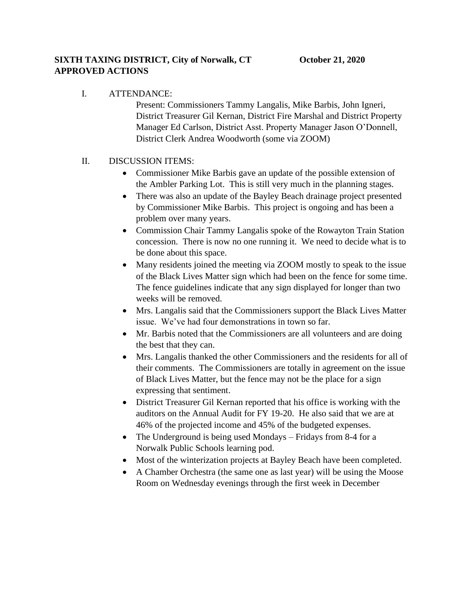## I. ATTENDANCE:

Present: Commissioners Tammy Langalis, Mike Barbis, John Igneri, District Treasurer Gil Kernan, District Fire Marshal and District Property Manager Ed Carlson, District Asst. Property Manager Jason O'Donnell, District Clerk Andrea Woodworth (some via ZOOM)

## II. DISCUSSION ITEMS:

- Commissioner Mike Barbis gave an update of the possible extension of the Ambler Parking Lot. This is still very much in the planning stages.
- There was also an update of the Bayley Beach drainage project presented by Commissioner Mike Barbis. This project is ongoing and has been a problem over many years.
- Commission Chair Tammy Langalis spoke of the Rowayton Train Station concession. There is now no one running it. We need to decide what is to be done about this space.
- Many residents joined the meeting via ZOOM mostly to speak to the issue of the Black Lives Matter sign which had been on the fence for some time. The fence guidelines indicate that any sign displayed for longer than two weeks will be removed.
- Mrs. Langalis said that the Commissioners support the Black Lives Matter issue. We've had four demonstrations in town so far.
- Mr. Barbis noted that the Commissioners are all volunteers and are doing the best that they can.
- Mrs. Langalis thanked the other Commissioners and the residents for all of their comments. The Commissioners are totally in agreement on the issue of Black Lives Matter, but the fence may not be the place for a sign expressing that sentiment.
- District Treasurer Gil Kernan reported that his office is working with the auditors on the Annual Audit for FY 19-20. He also said that we are at 46% of the projected income and 45% of the budgeted expenses.
- The Underground is being used Mondays Fridays from 8-4 for a Norwalk Public Schools learning pod.
- Most of the winterization projects at Bayley Beach have been completed.
- A Chamber Orchestra (the same one as last year) will be using the Moose Room on Wednesday evenings through the first week in December